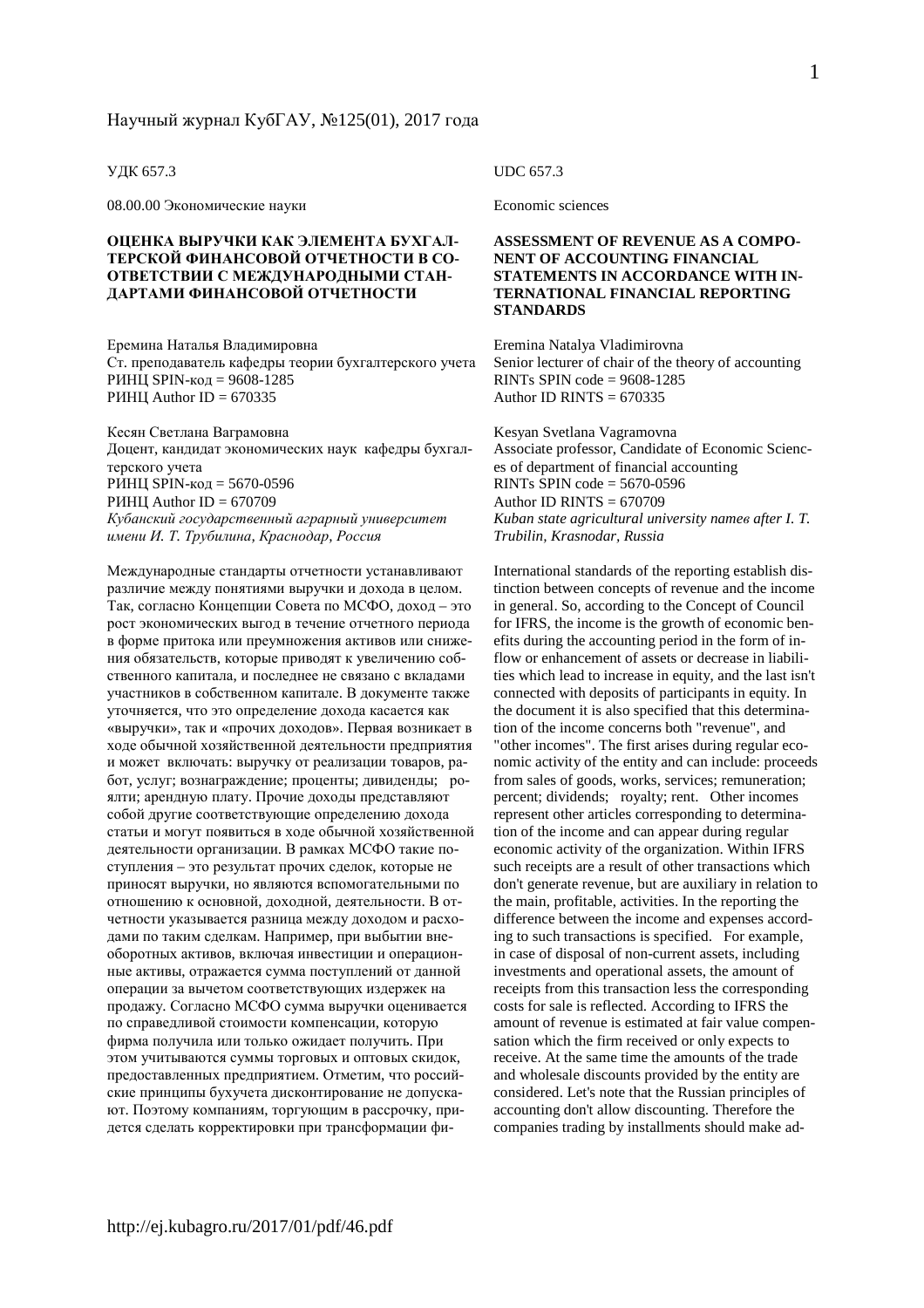#### УДК 657.3

08.00.00 Экономические науки

#### **ОЦЕНКА ВЫРУЧКИ КАК ЭЛЕМЕНТА БУХГАЛ-ТЕРСКОЙ ФИНАНСОВОЙ ОТЧЕТНОСТИ В СО-ОТВЕТСТВИИ С МЕЖДУНАРОДНЫМИ СТАН-ДАРТАМИ ФИНАНСОВОЙ ОТЧЕТНОСТИ**

Еремина Наталья Владимировна Ст. преподаватель кафедры теории бухгалтерского учета РИНЦ SPIN-код = 9608-1285 РИНЦ Author ID =  $670335$ 

Кесян Светлана Ваграмовна Доцент, кандидат экономических наук кафедры бухгалтерского учета РИНЦ SPIN-код = 5670-0596 РИНЦ Author ID =  $670709$ *Кубанский государственный аграрный университет имени И. Т. Трубилина, Краснодар, Россия*

Международные стандарты отчетности устанавливают различие между понятиями выручки и дохода в целом. Так, согласно Концепции Совета по МСФО, доход – это рост экономических выгод в течение отчетного периода в форме притока или преумножения активов или снижения обязательств, которые приводят к увеличению собственного капитала, и последнее не связано с вкладами участников в собственном капитале. В документе также уточняется, что это определение дохода касается как «выручки», так и «прочих доходов». Первая возникает в ходе обычной хозяйственной деятельности предприятия и может включать: выручку от реализации товаров, работ, услуг; вознаграждение; проценты; дивиденды; роялти; арендную плату. Прочие доходы представляют собой другие соответствующие определению дохода статьи и могут появиться в ходе обычной хозяйственной деятельности организации. В рамках МСФО такие поступления – это результат прочих сделок, которые не приносят выручки, но являются вспомогательными по отношению к основной, доходной, деятельности. В отчетности указывается разница между доходом и расходами по таким сделкам. Например, при выбытии внеоборотных активов, включая инвестиции и операционные активы, отражается сумма поступлений от данной операции за вычетом соответствующих издержек на продажу. Согласно МСФО сумма выручки оценивается по справедливой стоимости компенсации, которую фирма получила или только ожидает получить. При этом учитываются суммы торговых и оптовых скидок, предоставленных предприятием. Отметим, что российские принципы бухучета дисконтирование не допускают. Поэтому компаниям, торгующим в рассрочку, придется сделать корректировки при трансформации фи-

#### UDC 657.3

Economic sciences

#### **ASSESSMENT OF REVENUE AS A COMPO-NENT OF ACCOUNTING FINANCIAL STATEMENTS IN ACCORDANCE WITH IN-TERNATIONAL FINANCIAL REPORTING STANDARDS**

Eremina Natalya Vladimirovna Senior lecturer of chair of the theory of accounting RINTs SPIN code  $= 9608 - 1285$ Author ID RINTS  $= 670335$ 

Kesyan Svetlana Vagramovna Associate professor, Candidate of Economic Sciences of department of financial accounting RINTs SPIN code  $=$  5670-0596 Author ID RINTS  $= 670709$ *Kuban state agricultural university nameв after I. T. Trubilin, Krasnodar, Russia* 

International standards of the reporting establish distinction between concepts of revenue and the income in general. So, according to the Concept of Council for IFRS, the income is the growth of economic benefits during the accounting period in the form of inflow or enhancement of assets or decrease in liabilities which lead to increase in equity, and the last isn't connected with deposits of participants in equity. In the document it is also specified that this determination of the income concerns both "revenue", and "other incomes". The first arises during regular economic activity of the entity and can include: proceeds from sales of goods, works, services; remuneration; percent; dividends; royalty; rent. Other incomes represent other articles corresponding to determination of the income and can appear during regular economic activity of the organization. Within IFRS such receipts are a result of other transactions which don't generate revenue, but are auxiliary in relation to the main, profitable, activities. In the reporting the difference between the income and expenses according to such transactions is specified. For example, in case of disposal of non-current assets, including investments and operational assets, the amount of receipts from this transaction less the corresponding costs for sale is reflected. According to IFRS the amount of revenue is estimated at fair value compensation which the firm received or only expects to receive. At the same time the amounts of the trade and wholesale discounts provided by the entity are considered. Let's note that the Russian principles of accounting don't allow discounting. Therefore the companies trading by installments should make ad-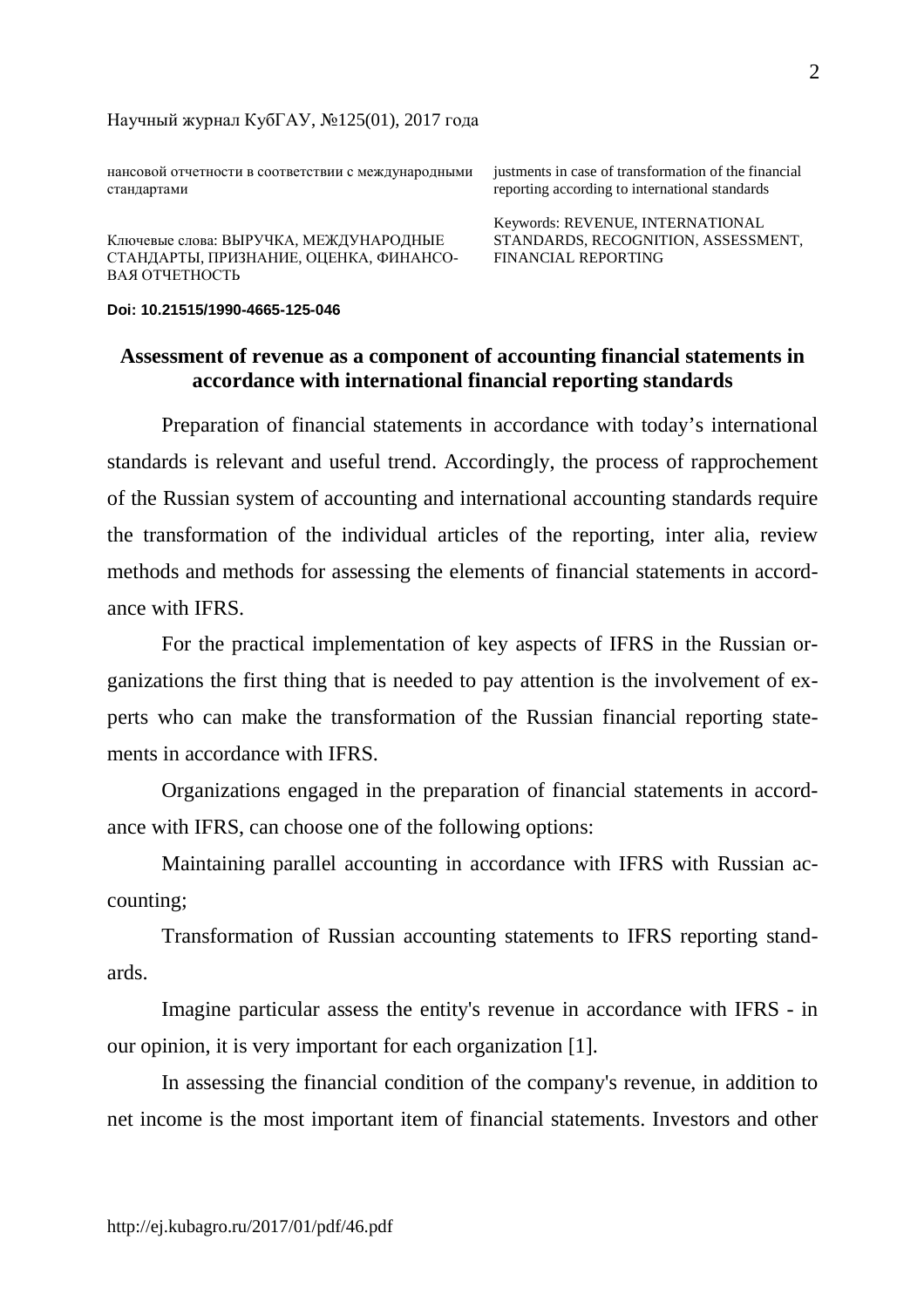нансовой отчетности в соответствии с международными стандартами

Ключевые слова: ВЫРУЧКА, МЕЖДУНАРОДНЫЕ СТАНДАРТЫ, ПРИЗНАНИЕ, ОЦЕНКА, ФИНАНСО-ВАЯ ОТЧЕТНОСТЬ

justments in case of transformation of the financial reporting according to international standards

Keywords: REVENUE, INTERNATIONAL STANDARDS, RECOGNITION, ASSESSMENT, FINANCIAL REPORTING

### **Doi: 10.21515/1990-4665-125-046**

# **Assessment of revenue as a component of accounting financial statements in accordance with international financial reporting standards**

Preparation of financial statements in accordance with today's international standards is relevant and useful trend. Accordingly, the process of rapprochement of the Russian system of accounting and international accounting standards require the transformation of the individual articles of the reporting, inter alia, review methods and methods for assessing the elements of financial statements in accordance with IFRS.

For the practical implementation of key aspects of IFRS in the Russian organizations the first thing that is needed to pay attention is the involvement of experts who can make the transformation of the Russian financial reporting statements in accordance with IFRS.

Organizations engaged in the preparation of financial statements in accordance with IFRS, can choose one of the following options:

Maintaining parallel accounting in accordance with IFRS with Russian accounting;

Transformation of Russian accounting statements to IFRS reporting standards.

Imagine particular assess the entity's revenue in accordance with IFRS - in our opinion, it is very important for each organization [1].

In assessing the financial condition of the company's revenue, in addition to net income is the most important item of financial statements. Investors and other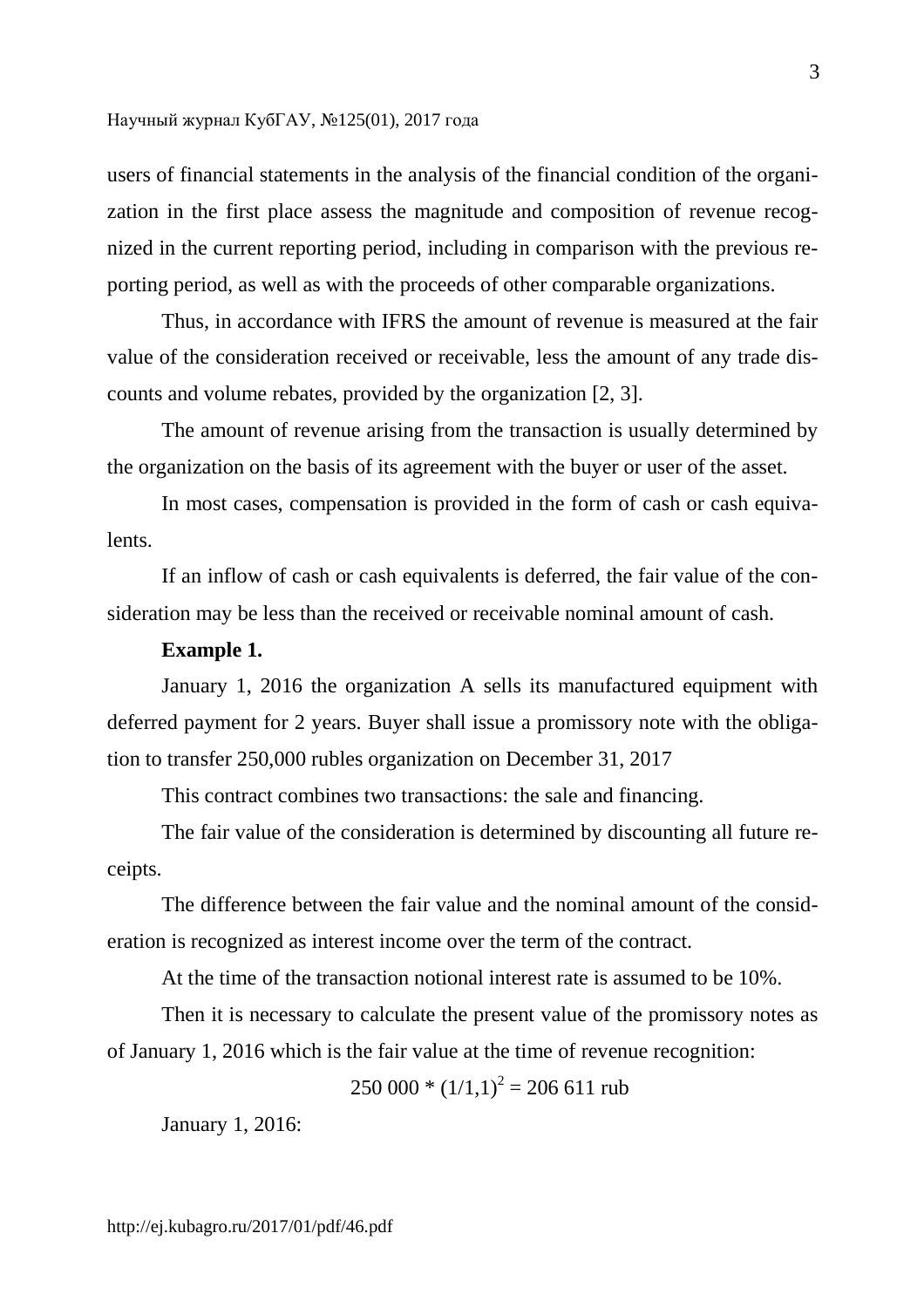users of financial statements in the analysis of the financial condition of the organization in the first place assess the magnitude and composition of revenue recognized in the current reporting period, including in comparison with the previous reporting period, as well as with the proceeds of other comparable organizations.

Thus, in accordance with IFRS the amount of revenue is measured at the fair value of the consideration received or receivable, less the amount of any trade discounts and volume rebates, provided by the organization [2, 3].

The amount of revenue arising from the transaction is usually determined by the organization on the basis of its agreement with the buyer or user of the asset.

In most cases, compensation is provided in the form of cash or cash equivalents.

If an inflow of cash or cash equivalents is deferred, the fair value of the consideration may be less than the received or receivable nominal amount of cash.

## **Example 1.**

January 1, 2016 the organization A sells its manufactured equipment with deferred payment for 2 years. Buyer shall issue a promissory note with the obligation to transfer 250,000 rubles organization on December 31, 2017

This contract combines two transactions: the sale and financing.

The fair value of the consideration is determined by discounting all future receipts.

The difference between the fair value and the nominal amount of the consideration is recognized as interest income over the term of the contract.

At the time of the transaction notional interest rate is assumed to be 10%.

Then it is necessary to calculate the present value of the promissory notes as of January 1, 2016 which is the fair value at the time of revenue recognition:

 $250\,000 * (1/1,1)^2 = 206\,611$  rub

January 1, 2016:

http://ej.kubagro.ru/2017/01/pdf/46.pdf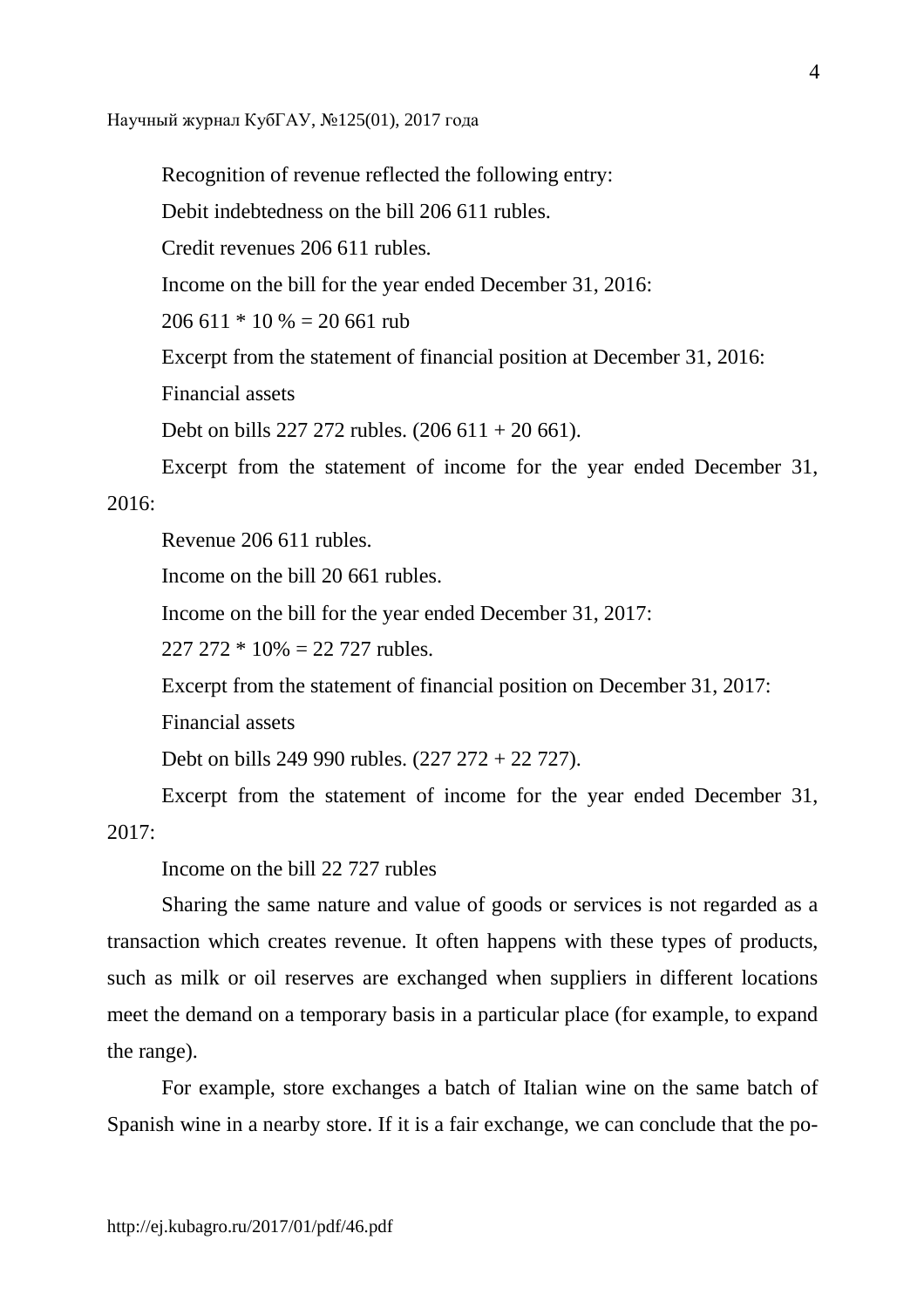Recognition of revenue reflected the following entry:

Debit indebtedness on the bill 206 611 rubles.

Credit revenues 206 611 rubles.

Income on the bill for the year ended December 31, 2016:

 $206\,611 * 10\% = 20\,661$  rub

Excerpt from the statement of financial position at December 31, 2016:

Financial assets

Debt on bills 227 272 rubles. (206 611 + 20 661).

Excerpt from the statement of income for the year ended December 31,

# 2016:

Revenue 206 611 rubles.

Income on the bill 20 661 rubles.

Income on the bill for the year ended December 31, 2017:

 $227\ 272 * 10\% = 22\ 727$  rubles.

Excerpt from the statement of financial position on December 31, 2017:

Financial assets

Debt on bills 249 990 rubles. (227 272 + 22 727).

Excerpt from the statement of income for the year ended December 31,  $2017$ 

Income on the bill 22 727 rubles

Sharing the same nature and value of goods or services is not regarded as a transaction which creates revenue. It often happens with these types of products, such as milk or oil reserves are exchanged when suppliers in different locations meet the demand on a temporary basis in a particular place (for example, to expand the range).

For example, store exchanges a batch of Italian wine on the same batch of Spanish wine in a nearby store. If it is a fair exchange, we can conclude that the po-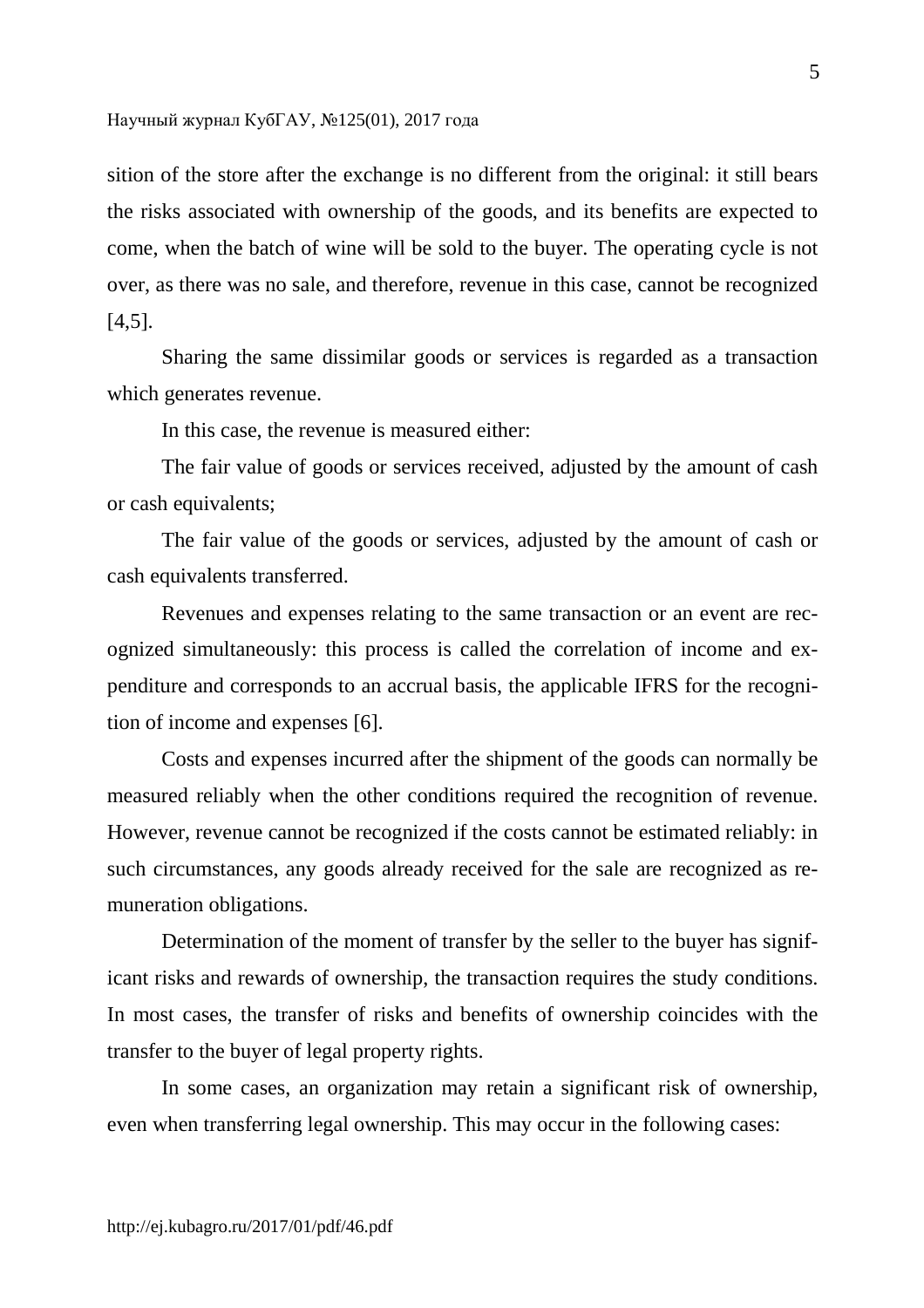sition of the store after the exchange is no different from the original: it still bears the risks associated with ownership of the goods, and its benefits are expected to come, when the batch of wine will be sold to the buyer. The operating cycle is not over, as there was no sale, and therefore, revenue in this case, cannot be recognized [4,5].

Sharing the same dissimilar goods or services is regarded as a transaction which generates revenue.

In this case, the revenue is measured either:

The fair value of goods or services received, adjusted by the amount of cash or cash equivalents;

The fair value of the goods or services, adjusted by the amount of cash or cash equivalents transferred.

Revenues and expenses relating to the same transaction or an event are recognized simultaneously: this process is called the correlation of income and expenditure and corresponds to an accrual basis, the applicable IFRS for the recognition of income and expenses [6].

Costs and expenses incurred after the shipment of the goods can normally be measured reliably when the other conditions required the recognition of revenue. However, revenue cannot be recognized if the costs cannot be estimated reliably: in such circumstances, any goods already received for the sale are recognized as remuneration obligations.

Determination of the moment of transfer by the seller to the buyer has significant risks and rewards of ownership, the transaction requires the study conditions. In most cases, the transfer of risks and benefits of ownership coincides with the transfer to the buyer of legal property rights.

In some cases, an organization may retain a significant risk of ownership, even when transferring legal ownership. This may occur in the following cases: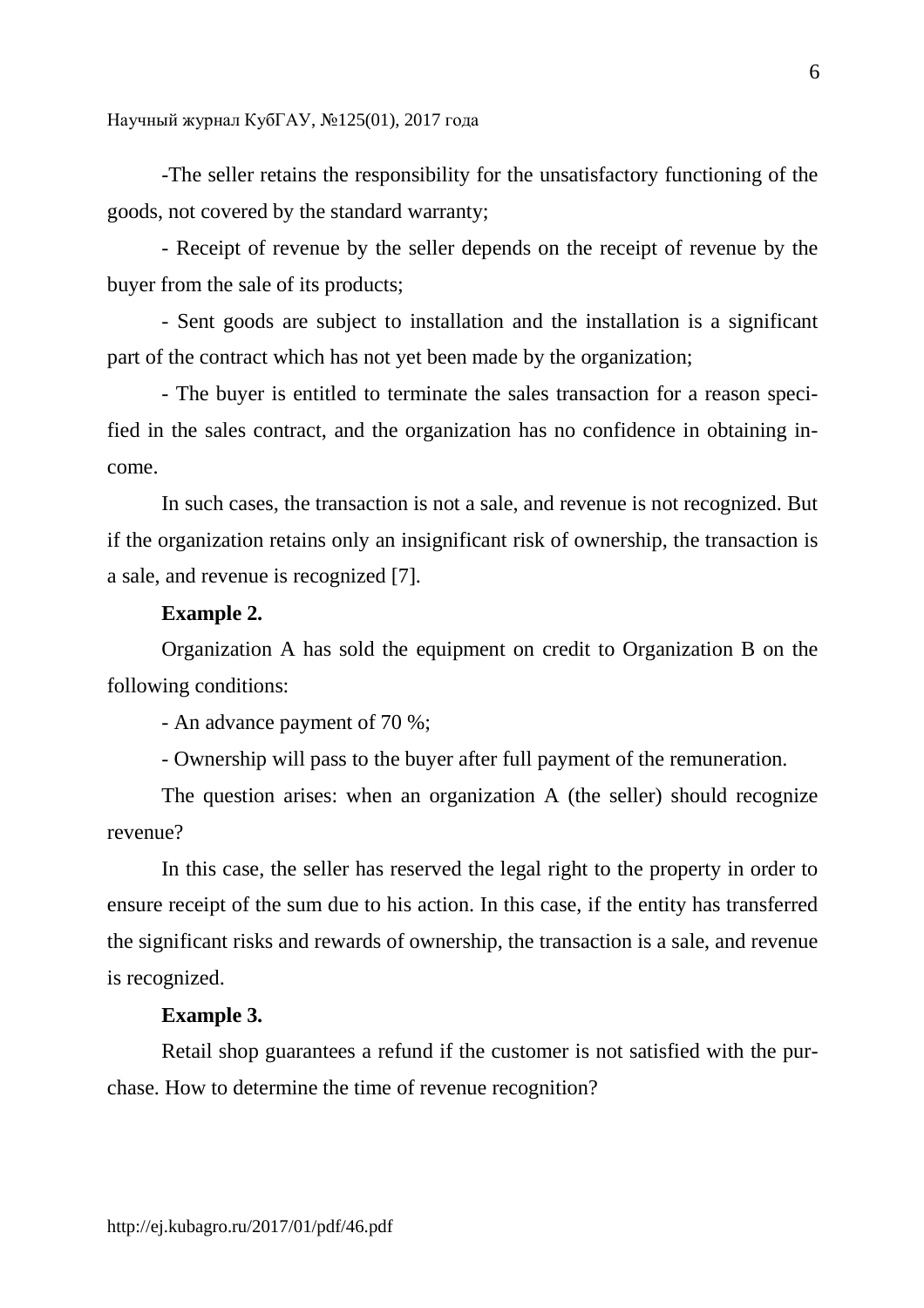-The seller retains the responsibility for the unsatisfactory functioning of the goods, not covered by the standard warranty;

- Receipt of revenue by the seller depends on the receipt of revenue by the buyer from the sale of its products;

- Sent goods are subject to installation and the installation is a significant part of the contract which has not yet been made by the organization;

- The buyer is entitled to terminate the sales transaction for a reason specified in the sales contract, and the organization has no confidence in obtaining income.

In such cases, the transaction is not a sale, and revenue is not recognized. But if the organization retains only an insignificant risk of ownership, the transaction is a sale, and revenue is recognized [7].

## **Example 2.**

Organization A has sold the equipment on credit to Organization B on the following conditions:

- An advance payment of 70 %;

- Ownership will pass to the buyer after full payment of the remuneration.

The question arises: when an organization A (the seller) should recognize revenue?

In this case, the seller has reserved the legal right to the property in order to ensure receipt of the sum due to his action. In this case, if the entity has transferred the significant risks and rewards of ownership, the transaction is a sale, and revenue is recognized.

## **Example 3.**

Retail shop guarantees a refund if the customer is not satisfied with the purchase. How to determine the time of revenue recognition?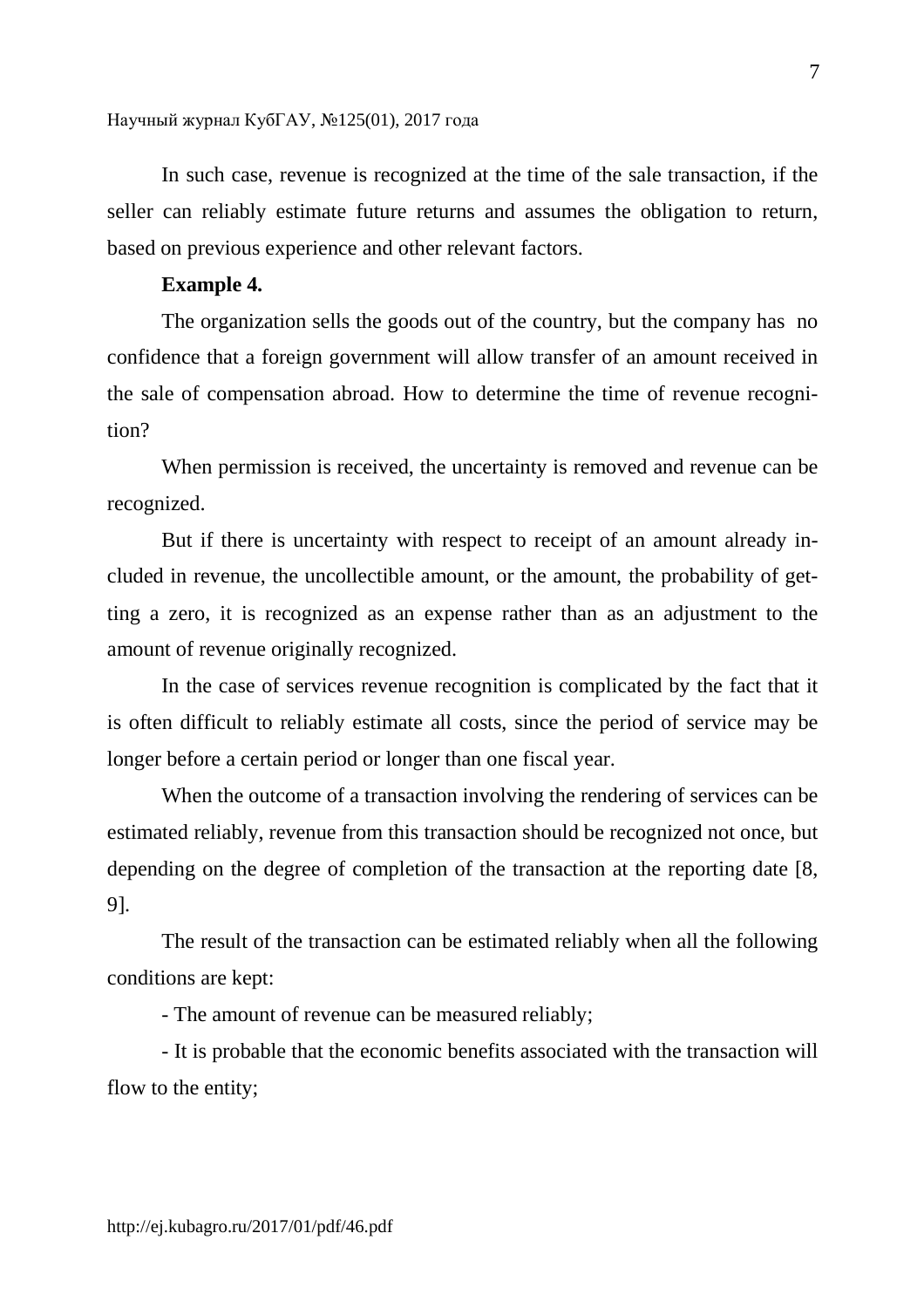In such case, revenue is recognized at the time of the sale transaction, if the seller can reliably estimate future returns and assumes the obligation to return, based on previous experience and other relevant factors.

## **Example 4.**

The organization sells the goods out of the country, but the company has no confidence that a foreign government will allow transfer of an amount received in the sale of compensation abroad. How to determine the time of revenue recognition?

When permission is received, the uncertainty is removed and revenue can be recognized.

But if there is uncertainty with respect to receipt of an amount already included in revenue, the uncollectible amount, or the amount, the probability of getting a zero, it is recognized as an expense rather than as an adjustment to the amount of revenue originally recognized.

In the case of services revenue recognition is complicated by the fact that it is often difficult to reliably estimate all costs, since the period of service may be longer before a certain period or longer than one fiscal year.

When the outcome of a transaction involving the rendering of services can be estimated reliably, revenue from this transaction should be recognized not once, but depending on the degree of completion of the transaction at the reporting date [8, 9].

The result of the transaction can be estimated reliably when all the following conditions are kept:

- The amount of revenue can be measured reliably;

- It is probable that the economic benefits associated with the transaction will flow to the entity;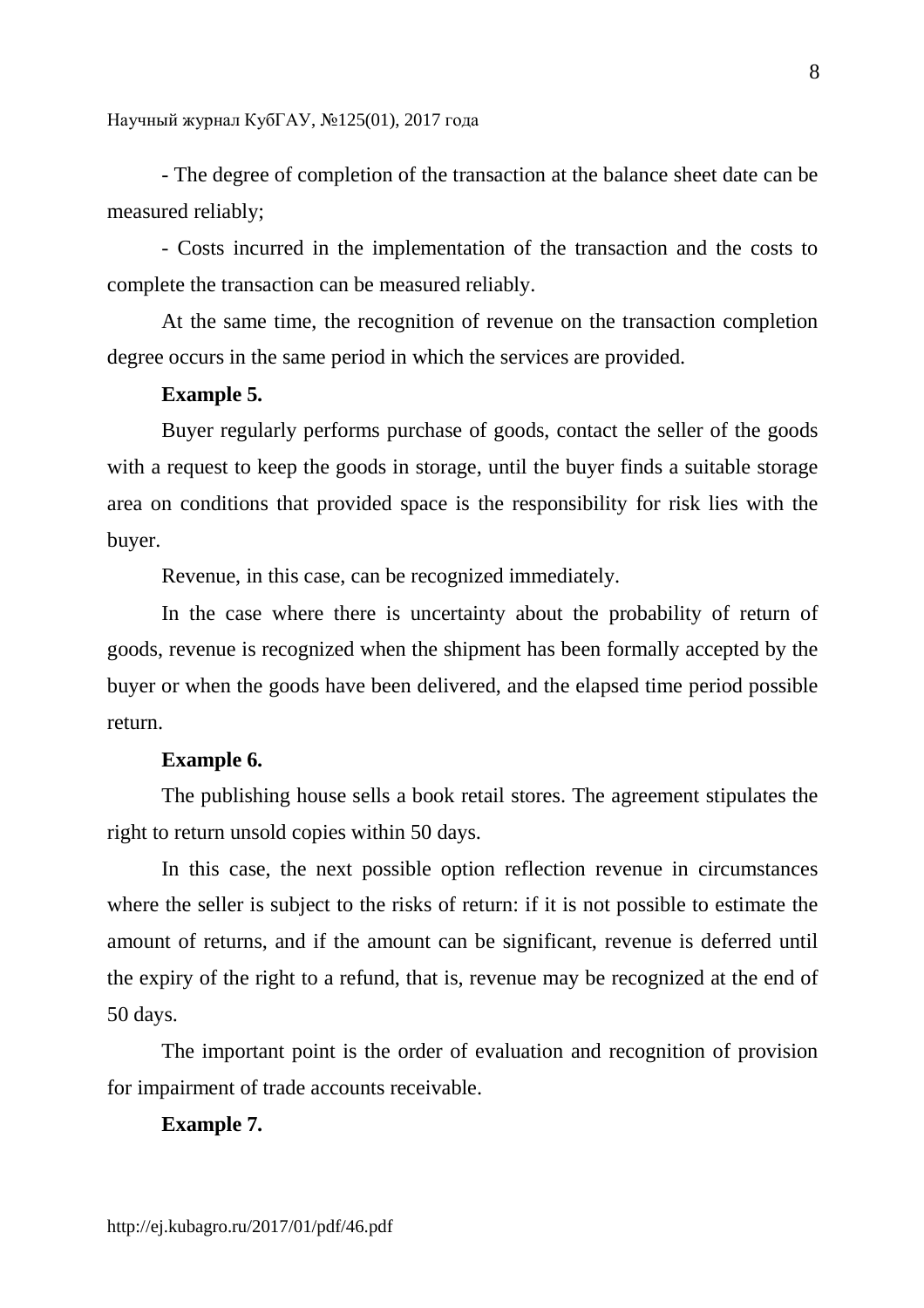- The degree of completion of the transaction at the balance sheet date can be measured reliably;

- Costs incurred in the implementation of the transaction and the costs to complete the transaction can be measured reliably.

At the same time, the recognition of revenue on the transaction completion degree occurs in the same period in which the services are provided.

## **Example 5.**

Buyer regularly performs purchase of goods, contact the seller of the goods with a request to keep the goods in storage, until the buyer finds a suitable storage area on conditions that provided space is the responsibility for risk lies with the buyer.

Revenue, in this case, can be recognized immediately.

In the case where there is uncertainty about the probability of return of goods, revenue is recognized when the shipment has been formally accepted by the buyer or when the goods have been delivered, and the elapsed time period possible return.

## **Example 6.**

The publishing house sells a book retail stores. The agreement stipulates the right to return unsold copies within 50 days.

In this case, the next possible option reflection revenue in circumstances where the seller is subject to the risks of return: if it is not possible to estimate the amount of returns, and if the amount can be significant, revenue is deferred until the expiry of the right to a refund, that is, revenue may be recognized at the end of 50 days.

The important point is the order of evaluation and recognition of provision for impairment of trade accounts receivable.

## **Example 7.**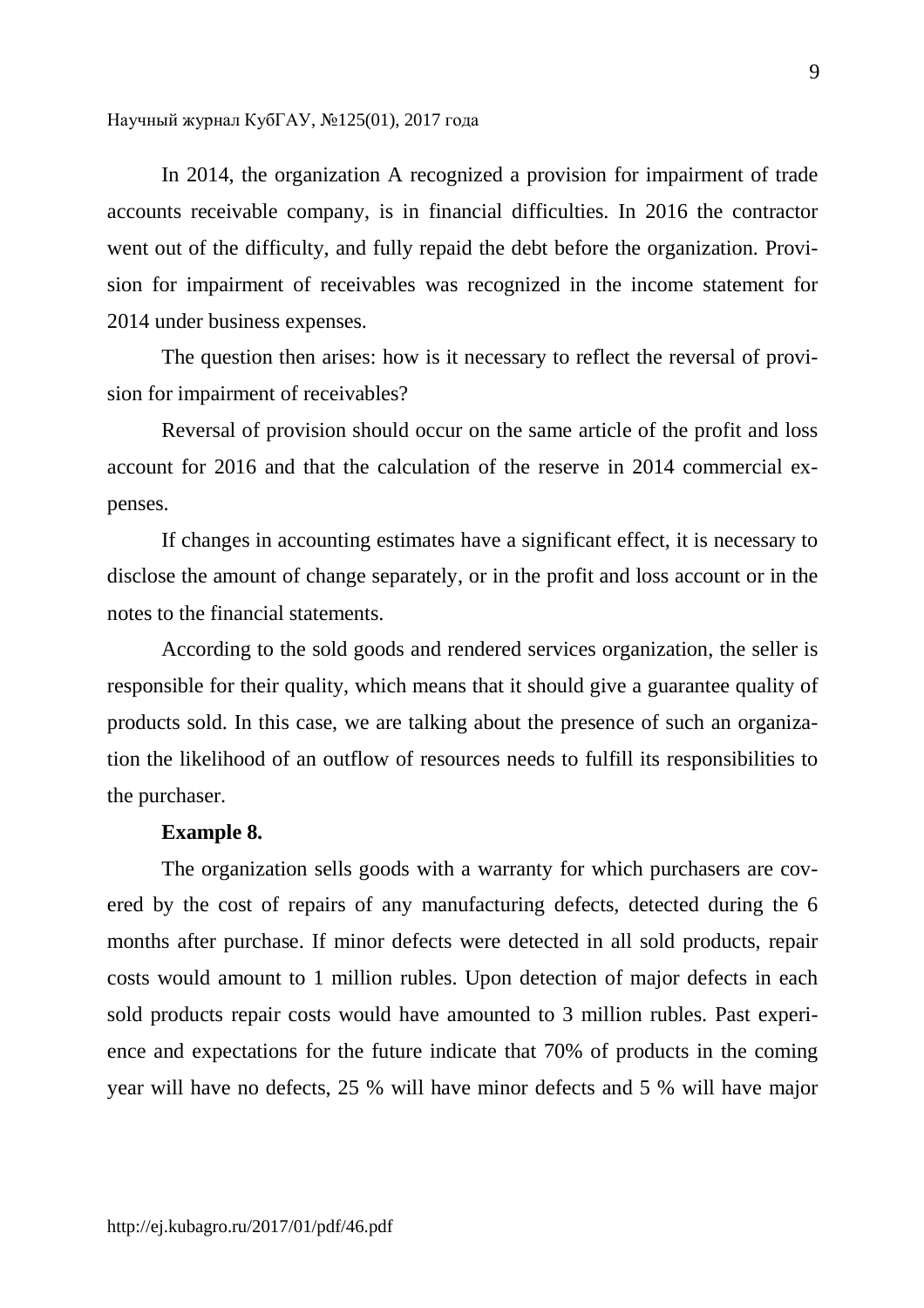In 2014, the organization A recognized a provision for impairment of trade accounts receivable company, is in financial difficulties. In 2016 the contractor went out of the difficulty, and fully repaid the debt before the organization. Provision for impairment of receivables was recognized in the income statement for 2014 under business expenses.

The question then arises: how is it necessary to reflect the reversal of provision for impairment of receivables?

Reversal of provision should occur on the same article of the profit and loss account for 2016 and that the calculation of the reserve in 2014 commercial expenses.

If changes in accounting estimates have a significant effect, it is necessary to disclose the amount of change separately, or in the profit and loss account or in the notes to the financial statements.

According to the sold goods and rendered services organization, the seller is responsible for their quality, which means that it should give a guarantee quality of products sold. In this case, we are talking about the presence of such an organization the likelihood of an outflow of resources needs to fulfill its responsibilities to the purchaser.

### **Example 8.**

The organization sells goods with a warranty for which purchasers are covered by the cost of repairs of any manufacturing defects, detected during the 6 months after purchase. If minor defects were detected in all sold products, repair costs would amount to 1 million rubles. Upon detection of major defects in each sold products repair costs would have amounted to 3 million rubles. Past experience and expectations for the future indicate that 70% of products in the coming year will have no defects, 25 % will have minor defects and 5 % will have major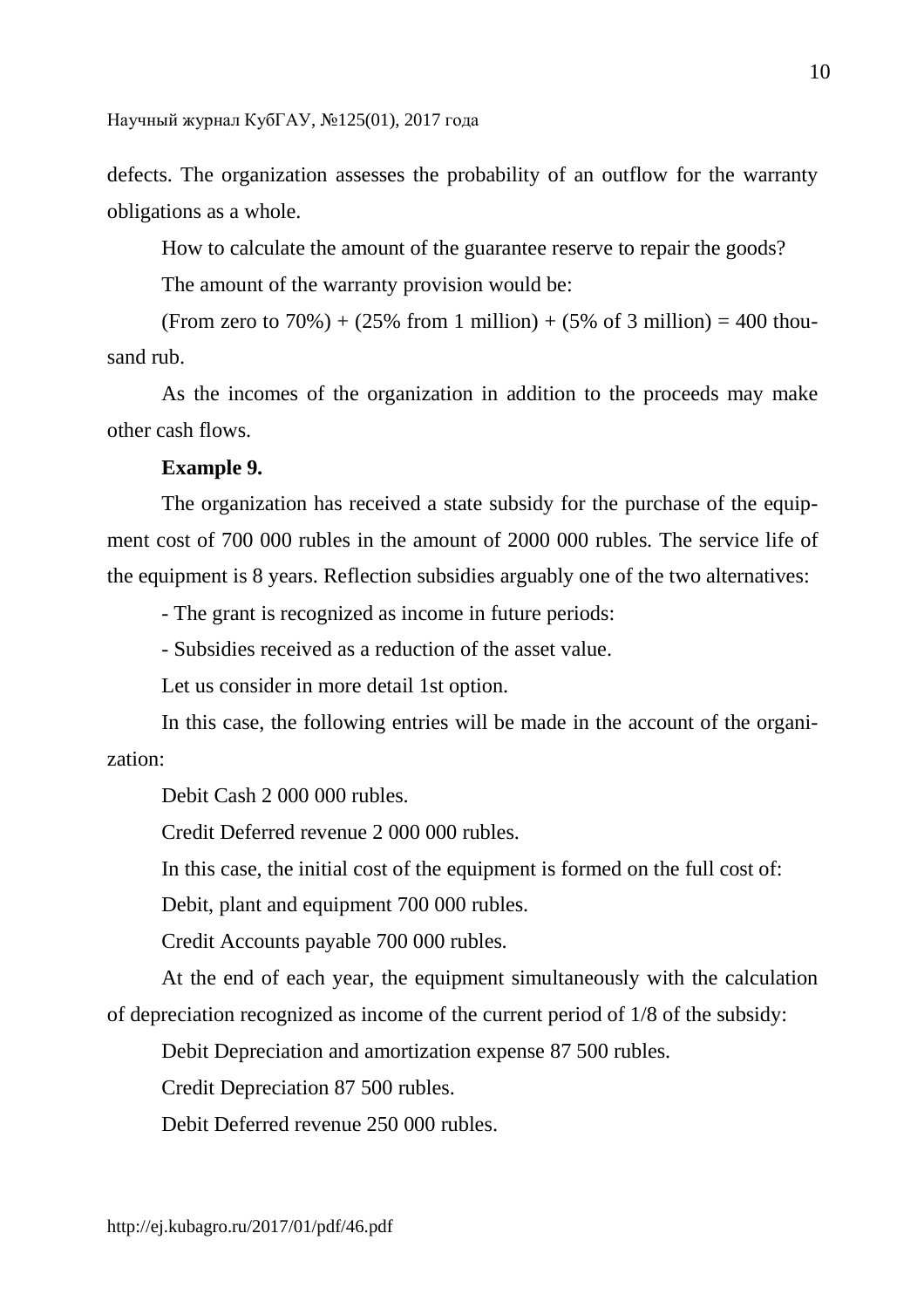defects. The organization assesses the probability of an outflow for the warranty obligations as a whole.

How to calculate the amount of the guarantee reserve to repair the goods?

The amount of the warranty provision would be:

(From zero to 70%) + (25% from 1 million) + (5% of 3 million) = 400 thousand rub.

As the incomes of the organization in addition to the proceeds may make other cash flows.

## **Example 9.**

The organization has received a state subsidy for the purchase of the equipment cost of 700 000 rubles in the amount of 2000 000 rubles. The service life of the equipment is 8 years. Reflection subsidies arguably one of the two alternatives:

- The grant is recognized as income in future periods:

- Subsidies received as a reduction of the asset value.

Let us consider in more detail 1st option.

In this case, the following entries will be made in the account of the organization:

Debit Cash 2 000 000 rubles.

Credit Deferred revenue 2 000 000 rubles.

In this case, the initial cost of the equipment is formed on the full cost of:

Debit, plant and equipment 700 000 rubles.

Credit Accounts payable 700 000 rubles.

At the end of each year, the equipment simultaneously with the calculation of depreciation recognized as income of the current period of 1/8 of the subsidy:

Debit Depreciation and amortization expense 87 500 rubles.

Credit Depreciation 87 500 rubles.

Debit Deferred revenue 250 000 rubles.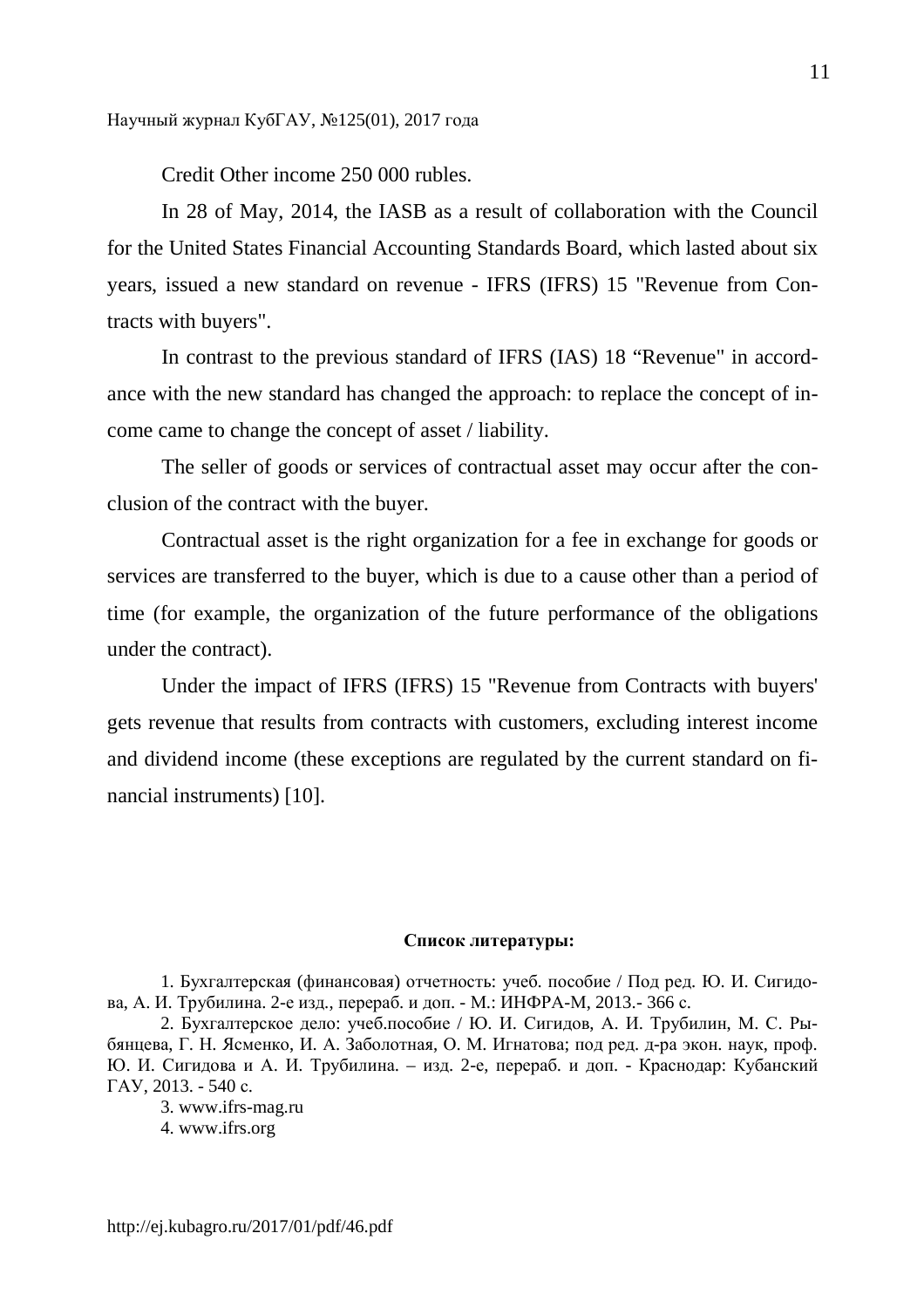Credit Other income 250 000 rubles.

In 28 of May, 2014, the IASB as a result of collaboration with the Council for the United States Financial Accounting Standards Board, which lasted about six years, issued a new standard on revenue - IFRS (IFRS) 15 "Revenue from Contracts with buyers".

In contrast to the previous standard of IFRS (IAS) 18 "Revenue" in accordance with the new standard has changed the approach: to replace the concept of income came to change the concept of asset / liability.

The seller of goods or services of contractual asset may occur after the conclusion of the contract with the buyer.

Contractual asset is the right organization for a fee in exchange for goods or services are transferred to the buyer, which is due to a cause other than a period of time (for example, the organization of the future performance of the obligations under the contract).

Under the impact of IFRS (IFRS) 15 "Revenue from Contracts with buyers' gets revenue that results from contracts with customers, excluding interest income and dividend income (these exceptions are regulated by the current standard on financial instruments) [10].

### **Список литературы:**

1. Бухгалтерская (финансовая) отчетность: учеб. пособие / Под ред. Ю. И. Сигидова, А. И. Трубилина. 2-е изд., перераб. и доп. - М.: ИНФРА-М, 2013.- 366 с.

2. Бухгалтерское дело: учеб.пособие / Ю. И. Сигидов, А. И. Трубилин, М. С. Рыбянцева, Г. Н. Ясменко, И. А. Заболотная, О. М. Игнатова; под ред. д-ра экон. наук, проф. Ю. И. Сигидова и А. И. Трубилина. – изд. 2-е, перераб. и доп. - Краснодар: Кубанский ГАУ, 2013. - 540 с.

3. www.ifrs-mag.ru

4. www.ifrs.org